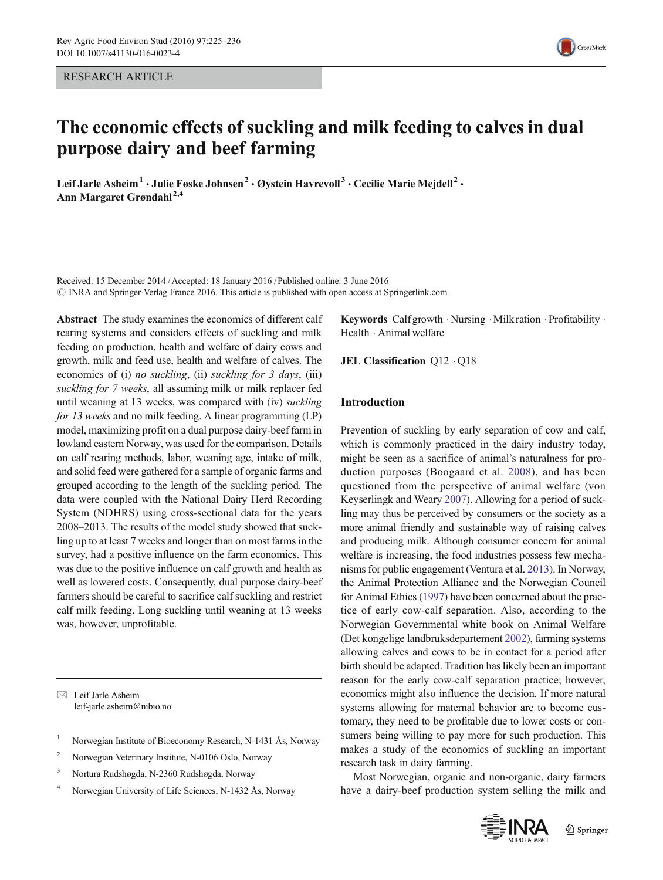RESEARCH ARTICLE



# The economic effects of suckling and milk feeding to calves in dual purpose dairy and beef farming

Leif Jarle Asheim<sup>1</sup> · Julie Føske Johnsen<sup>2</sup> · Øystein Havrevoll<sup>3</sup> · Cecilie Marie Mejdell<sup>2</sup> · Ann Margaret Grøndahl<sup>2,4</sup>

Received: 15 December 2014 /Accepted: 18 January 2016 /Published online: 3 June 2016  $\odot$  INRA and Springer-Verlag France 2016. This article is published with open access at Springerlink.com

Abstract The study examines the economics of different calf rearing systems and considers effects of suckling and milk feeding on production, health and welfare of dairy cows and growth, milk and feed use, health and welfare of calves. The economics of (i) no suckling, (ii) suckling for 3 days, (iii) suckling for 7 weeks, all assuming milk or milk replacer fed until weaning at 13 weeks, was compared with (iv) suckling for 13 weeks and no milk feeding. A linear programming (LP) model, maximizing profit on a dual purpose dairy-beef farm in lowland eastern Norway, was used for the comparison. Details on calf rearing methods, labor, weaning age, intake of milk, and solid feed were gathered for a sample of organic farms and grouped according to the length of the suckling period. The data were coupled with the National Dairy Herd Recording System (NDHRS) using cross-sectional data for the years 2008–2013. The results of the model study showed that suckling up to at least 7 weeks and longer than on most farms in the survey, had a positive influence on the farm economics. This was due to the positive influence on calf growth and health as well as lowered costs. Consequently, dual purpose dairy-beef farmers should be careful to sacrifice calf suckling and restrict calf milk feeding. Long suckling until weaning at 13 weeks was, however, unprofitable.

 $\boxtimes$  Leif Jarle Asheim leif-jarle.asheim@nibio.no

- <sup>1</sup> Norwegian Institute of Bioeconomy Research, N-1431 Ås, Norway
- <sup>2</sup> Norwegian Veterinary Institute, N-0106 Oslo, Norway
- <sup>3</sup> Nortura Rudshøgda, N-2360 Rudshøgda, Norway
- <sup>4</sup> Norwegian University of Life Sciences, N-1432 Ås, Norway

Keywords Calf growth . Nursing . Milk ration . Profitability . Health · Animal welfare

JEL Classification  $O12 \cdot O18$ 

# Introduction

Prevention of suckling by early separation of cow and calf, which is commonly practiced in the dairy industry today, might be seen as a sacrifice of animal's naturalness for production purposes (Boogaard et al. [2008\)](#page-10-0), and has been questioned from the perspective of animal welfare (von Keyserlingk and Weary [2007](#page-11-0)). Allowing for a period of suckling may thus be perceived by consumers or the society as a more animal friendly and sustainable way of raising calves and producing milk. Although consumer concern for animal welfare is increasing, the food industries possess few mechanisms for public engagement (Ventura et al. [2013\)](#page-11-0). In Norway, the Animal Protection Alliance and the Norwegian Council for Animal Ethics ([1997](#page-11-0)) have been concerned about the practice of early cow-calf separation. Also, according to the Norwegian Governmental white book on Animal Welfare (Det kongelige landbruksdepartement [2002](#page-10-0)), farming systems allowing calves and cows to be in contact for a period after birth should be adapted. Tradition has likely been an important reason for the early cow-calf separation practice; however, economics might also influence the decision. If more natural systems allowing for maternal behavior are to become customary, they need to be profitable due to lower costs or consumers being willing to pay more for such production. This makes a study of the economics of suckling an important research task in dairy farming.

Most Norwegian, organic and non-organic, dairy farmers have a dairy-beef production system selling the milk and



2 Springer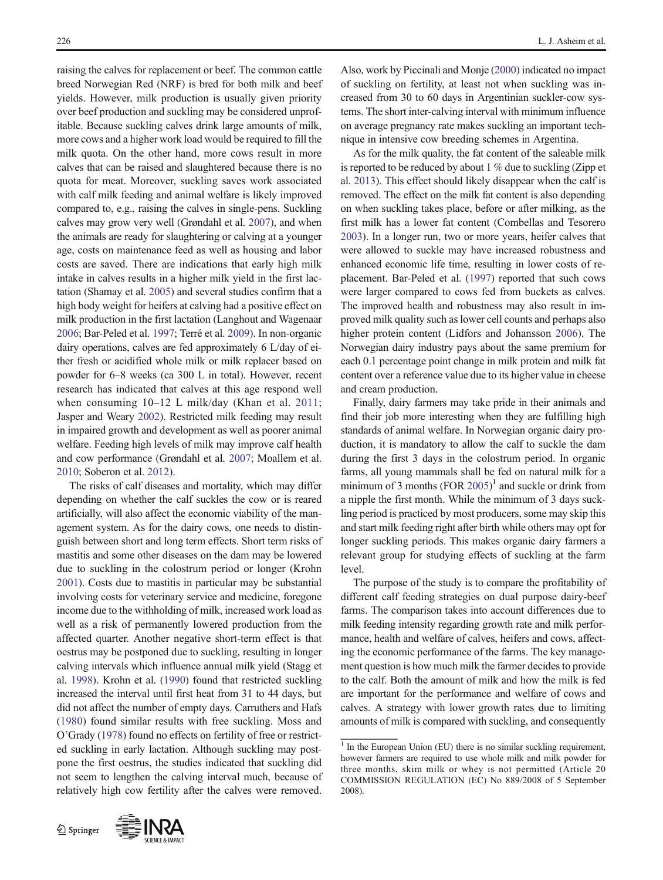raising the calves for replacement or beef. The common cattle breed Norwegian Red (NRF) is bred for both milk and beef yields. However, milk production is usually given priority over beef production and suckling may be considered unprofitable. Because suckling calves drink large amounts of milk, more cows and a higher work load would be required to fill the milk quota. On the other hand, more cows result in more calves that can be raised and slaughtered because there is no quota for meat. Moreover, suckling saves work associated with calf milk feeding and animal welfare is likely improved compared to, e.g., raising the calves in single-pens. Suckling calves may grow very well (Grøndahl et al. [2007\)](#page-10-0), and when the animals are ready for slaughtering or calving at a younger age, costs on maintenance feed as well as housing and labor costs are saved. There are indications that early high milk intake in calves results in a higher milk yield in the first lactation (Shamay et al. [2005](#page-11-0)) and several studies confirm that a high body weight for heifers at calving had a positive effect on milk production in the first lactation (Langhout and Wagenaar [2006;](#page-11-0) Bar-Peled et al. [1997;](#page-10-0) Terré et al. [2009](#page-11-0)). In non-organic dairy operations, calves are fed approximately 6 L/day of either fresh or acidified whole milk or milk replacer based on powder for 6–8 weeks (ca 300 L in total). However, recent research has indicated that calves at this age respond well when consuming  $10-12$  L milk/day (Khan et al. [2011](#page-11-0); Jasper and Weary [2002\)](#page-11-0). Restricted milk feeding may result in impaired growth and development as well as poorer animal welfare. Feeding high levels of milk may improve calf health and cow performance (Grøndahl et al. [2007](#page-10-0); Moallem et al. [2010;](#page-11-0) Soberon et al. [2012](#page-11-0)).

The risks of calf diseases and mortality, which may differ depending on whether the calf suckles the cow or is reared artificially, will also affect the economic viability of the management system. As for the dairy cows, one needs to distinguish between short and long term effects. Short term risks of mastitis and some other diseases on the dam may be lowered due to suckling in the colostrum period or longer (Krohn [2001\)](#page-11-0). Costs due to mastitis in particular may be substantial involving costs for veterinary service and medicine, foregone income due to the withholding of milk, increased work load as well as a risk of permanently lowered production from the affected quarter. Another negative short-term effect is that oestrus may be postponed due to suckling, resulting in longer calving intervals which influence annual milk yield (Stagg et al. [1998](#page-11-0)). Krohn et al. [\(1990\)](#page-11-0) found that restricted suckling increased the interval until first heat from 31 to 44 days, but did not affect the number of empty days. Carruthers and Hafs [\(1980](#page-10-0)) found similar results with free suckling. Moss and O'Grady ([1978](#page-11-0)) found no effects on fertility of free or restricted suckling in early lactation. Although suckling may postpone the first oestrus, the studies indicated that suckling did not seem to lengthen the calving interval much, because of relatively high cow fertility after the calves were removed.

<sup>2</sup> Springer



Also, work by Piccinali and Monje [\(2000\)](#page-11-0) indicated no impact of suckling on fertility, at least not when suckling was increased from 30 to 60 days in Argentinian suckler-cow systems. The short inter-calving interval with minimum influence on average pregnancy rate makes suckling an important technique in intensive cow breeding schemes in Argentina.

As for the milk quality, the fat content of the saleable milk is reported to be reduced by about 1 % due to suckling (Zipp et al. [2013\)](#page-11-0). This effect should likely disappear when the calf is removed. The effect on the milk fat content is also depending on when suckling takes place, before or after milking, as the first milk has a lower fat content (Combellas and Tesorero [2003\)](#page-10-0). In a longer run, two or more years, heifer calves that were allowed to suckle may have increased robustness and enhanced economic life time, resulting in lower costs of replacement. Bar-Peled et al. ([1997](#page-10-0)) reported that such cows were larger compared to cows fed from buckets as calves. The improved health and robustness may also result in improved milk quality such as lower cell counts and perhaps also higher protein content (Lidfors and Johansson [2006](#page-11-0)). The Norwegian dairy industry pays about the same premium for each 0.1 percentage point change in milk protein and milk fat content over a reference value due to its higher value in cheese and cream production.

Finally, dairy farmers may take pride in their animals and find their job more interesting when they are fulfilling high standards of animal welfare. In Norwegian organic dairy production, it is mandatory to allow the calf to suckle the dam during the first 3 days in the colostrum period. In organic farms, all young mammals shall be fed on natural milk for a minimum of 3 months  $(FOR 2005)^1$  $(FOR 2005)^1$  $(FOR 2005)^1$  and suckle or drink from a nipple the first month. While the minimum of 3 days suckling period is practiced by most producers, some may skip this and start milk feeding right after birth while others may opt for longer suckling periods. This makes organic dairy farmers a relevant group for studying effects of suckling at the farm level.

The purpose of the study is to compare the profitability of different calf feeding strategies on dual purpose dairy-beef farms. The comparison takes into account differences due to milk feeding intensity regarding growth rate and milk performance, health and welfare of calves, heifers and cows, affecting the economic performance of the farms. The key management question is how much milk the farmer decides to provide to the calf. Both the amount of milk and how the milk is fed are important for the performance and welfare of cows and calves. A strategy with lower growth rates due to limiting amounts of milk is compared with suckling, and consequently

<sup>&</sup>lt;sup>1</sup> In the European Union (EU) there is no similar suckling requirement, however farmers are required to use whole milk and milk powder for three months, skim milk or whey is not permitted (Article 20 COMMISSION REGULATION (EC) No 889/2008 of 5 September 2008).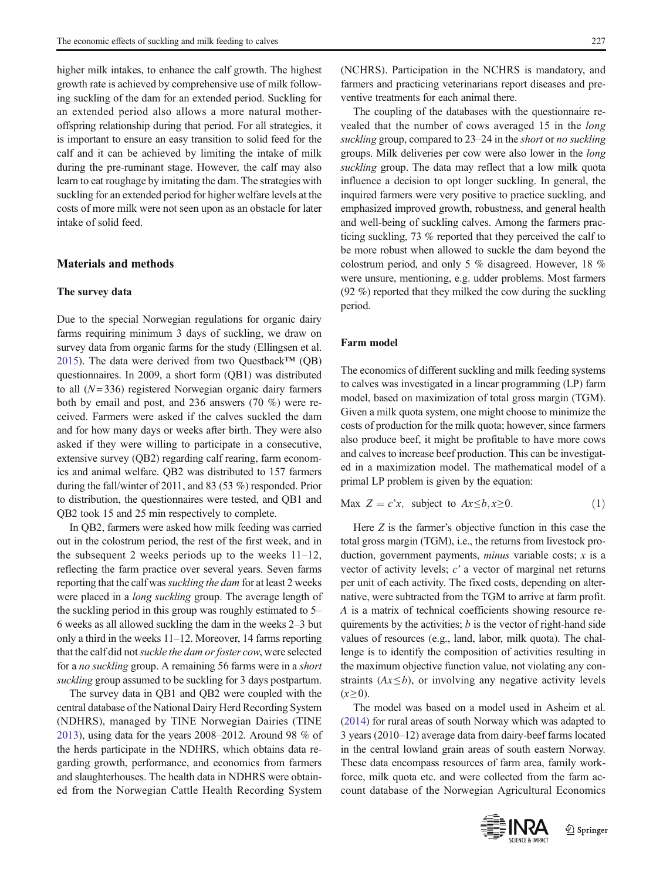higher milk intakes, to enhance the calf growth. The highest growth rate is achieved by comprehensive use of milk following suckling of the dam for an extended period. Suckling for an extended period also allows a more natural motheroffspring relationship during that period. For all strategies, it is important to ensure an easy transition to solid feed for the calf and it can be achieved by limiting the intake of milk during the pre-ruminant stage. However, the calf may also learn to eat roughage by imitating the dam. The strategies with suckling for an extended period for higher welfare levels at the costs of more milk were not seen upon as an obstacle for later intake of solid feed.

## Materials and methods

#### The survey data

Due to the special Norwegian regulations for organic dairy farms requiring minimum 3 days of suckling, we draw on survey data from organic farms for the study (Ellingsen et al. [2015\)](#page-10-0). The data were derived from two Questback<sup>™</sup> (QB) questionnaires. In 2009, a short form (QB1) was distributed to all  $(N=336)$  registered Norwegian organic dairy farmers both by email and post, and 236 answers (70 %) were received. Farmers were asked if the calves suckled the dam and for how many days or weeks after birth. They were also asked if they were willing to participate in a consecutive, extensive survey (QB2) regarding calf rearing, farm economics and animal welfare. QB2 was distributed to 157 farmers during the fall/winter of 2011, and 83 (53 %) responded. Prior to distribution, the questionnaires were tested, and QB1 and QB2 took 15 and 25 min respectively to complete.

In QB2, farmers were asked how milk feeding was carried out in the colostrum period, the rest of the first week, and in the subsequent 2 weeks periods up to the weeks 11–12, reflecting the farm practice over several years. Seven farms reporting that the calf was *suckling the dam* for at least 2 weeks were placed in a *long suckling* group. The average length of the suckling period in this group was roughly estimated to 5– 6 weeks as all allowed suckling the dam in the weeks 2–3 but only a third in the weeks 11–12. Moreover, 14 farms reporting that the calf did not suckle the dam or foster cow, were selected for a no suckling group. A remaining 56 farms were in a short suckling group assumed to be suckling for 3 days postpartum.

The survey data in QB1 and QB2 were coupled with the central database of the National Dairy Herd Recording System (NDHRS), managed by TINE Norwegian Dairies (TINE [2013\)](#page-11-0), using data for the years 2008–2012. Around 98 % of the herds participate in the NDHRS, which obtains data regarding growth, performance, and economics from farmers and slaughterhouses. The health data in NDHRS were obtained from the Norwegian Cattle Health Recording System

(NCHRS). Participation in the NCHRS is mandatory, and farmers and practicing veterinarians report diseases and preventive treatments for each animal there.

The coupling of the databases with the questionnaire revealed that the number of cows averaged 15 in the long suckling group, compared to 23–24 in the short or no suckling groups. Milk deliveries per cow were also lower in the long suckling group. The data may reflect that a low milk quota influence a decision to opt longer suckling. In general, the inquired farmers were very positive to practice suckling, and emphasized improved growth, robustness, and general health and well-being of suckling calves. Among the farmers practicing suckling, 73 % reported that they perceived the calf to be more robust when allowed to suckle the dam beyond the colostrum period, and only 5 % disagreed. However, 18 % were unsure, mentioning, e.g. udder problems. Most farmers (92 %) reported that they milked the cow during the suckling period.

#### Farm model

The economics of different suckling and milk feeding systems to calves was investigated in a linear programming (LP) farm model, based on maximization of total gross margin (TGM). Given a milk quota system, one might choose to minimize the costs of production for the milk quota; however, since farmers also produce beef, it might be profitable to have more cows and calves to increase beef production. This can be investigated in a maximization model. The mathematical model of a primal LP problem is given by the equation:

Max  $Z = c'x$ , subject to  $Ax \leq b, x \geq 0$ .  $(1)$ 

Here  $Z$  is the farmer's objective function in this case the total gross margin (TGM), i.e., the returns from livestock production, government payments, *minus* variable costs;  $x$  is a vector of activity levels; c′ a vector of marginal net returns per unit of each activity. The fixed costs, depending on alternative, were subtracted from the TGM to arrive at farm profit. A is a matrix of technical coefficients showing resource requirements by the activities;  $b$  is the vector of right-hand side values of resources (e.g., land, labor, milk quota). The challenge is to identify the composition of activities resulting in the maximum objective function value, not violating any constraints  $(Ax \leq b)$ , or involving any negative activity levels  $(x\geq 0)$ .

The model was based on a model used in Asheim et al. [\(2014\)](#page-10-0) for rural areas of south Norway which was adapted to 3 years (2010–12) average data from dairy-beef farms located in the central lowland grain areas of south eastern Norway. These data encompass resources of farm area, family workforce, milk quota etc. and were collected from the farm account database of the Norwegian Agricultural Economics

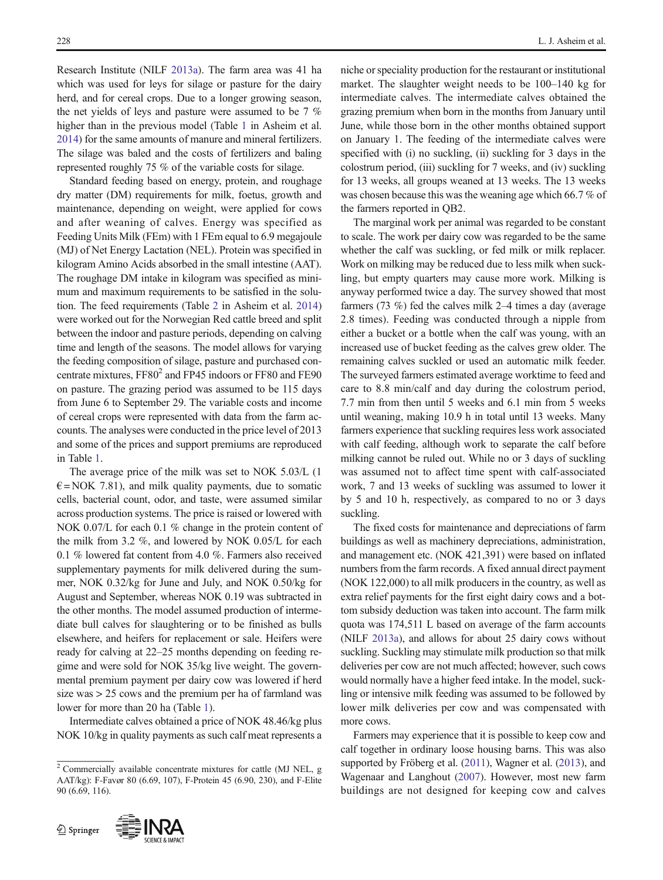Research Institute (NILF [2013a\)](#page-11-0). The farm area was 41 ha which was used for leys for silage or pasture for the dairy herd, and for cereal crops. Due to a longer growing season, the net yields of leys and pasture were assumed to be 7 % higher than in the previous model (Table [1](#page-4-0) in Asheim et al. [2014\)](#page-10-0) for the same amounts of manure and mineral fertilizers. The silage was baled and the costs of fertilizers and baling represented roughly 75 % of the variable costs for silage.

Standard feeding based on energy, protein, and roughage dry matter (DM) requirements for milk, foetus, growth and maintenance, depending on weight, were applied for cows and after weaning of calves. Energy was specified as Feeding Units Milk (FEm) with 1 FEm equal to 6.9 megajoule (MJ) of Net Energy Lactation (NEL). Protein was specified in kilogram Amino Acids absorbed in the small intestine (AAT). The roughage DM intake in kilogram was specified as minimum and maximum requirements to be satisfied in the solution. The feed requirements (Table [2](#page-5-0) in Asheim et al. [2014\)](#page-10-0) were worked out for the Norwegian Red cattle breed and split between the indoor and pasture periods, depending on calving time and length of the seasons. The model allows for varying the feeding composition of silage, pasture and purchased concentrate mixtures, FF80<sup>2</sup> and FP45 indoors or FF80 and FE90 on pasture. The grazing period was assumed to be 115 days from June 6 to September 29. The variable costs and income of cereal crops were represented with data from the farm accounts. The analyses were conducted in the price level of 2013 and some of the prices and support premiums are reproduced in Table [1](#page-4-0).

The average price of the milk was set to NOK 5.03/L (1  $E = NOK 7.81$ , and milk quality payments, due to somatic cells, bacterial count, odor, and taste, were assumed similar across production systems. The price is raised or lowered with NOK 0.07/L for each 0.1 % change in the protein content of the milk from 3.2 %, and lowered by NOK 0.05/L for each 0.1 % lowered fat content from 4.0 %. Farmers also received supplementary payments for milk delivered during the summer, NOK 0.32/kg for June and July, and NOK 0.50/kg for August and September, whereas NOK 0.19 was subtracted in the other months. The model assumed production of intermediate bull calves for slaughtering or to be finished as bulls elsewhere, and heifers for replacement or sale. Heifers were ready for calving at 22–25 months depending on feeding regime and were sold for NOK 35/kg live weight. The governmental premium payment per dairy cow was lowered if herd size was > 25 cows and the premium per ha of farmland was lower for more than 20 ha (Table [1\)](#page-4-0).

Intermediate calves obtained a price of NOK 48.46/kg plus NOK 10/kg in quality payments as such calf meat represents a

<sup>2</sup> Commercially available concentrate mixtures for cattle (MJ NEL, g AAT/kg): F-Favør 80 (6.69, 107), F-Protein 45 (6.90, 230), and F-Elite 90 (6.69, 116).





niche or speciality production for the restaurant or institutional market. The slaughter weight needs to be 100–140 kg for intermediate calves. The intermediate calves obtained the grazing premium when born in the months from January until June, while those born in the other months obtained support on January 1. The feeding of the intermediate calves were specified with (i) no suckling, (ii) suckling for 3 days in the colostrum period, (iii) suckling for 7 weeks, and (iv) suckling for 13 weeks, all groups weaned at 13 weeks. The 13 weeks was chosen because this was the weaning age which 66.7 % of the farmers reported in QB2.

The marginal work per animal was regarded to be constant to scale. The work per dairy cow was regarded to be the same whether the calf was suckling, or fed milk or milk replacer. Work on milking may be reduced due to less milk when suckling, but empty quarters may cause more work. Milking is anyway performed twice a day. The survey showed that most farmers (73 %) fed the calves milk 2–4 times a day (average 2.8 times). Feeding was conducted through a nipple from either a bucket or a bottle when the calf was young, with an increased use of bucket feeding as the calves grew older. The remaining calves suckled or used an automatic milk feeder. The surveyed farmers estimated average worktime to feed and care to 8.8 min/calf and day during the colostrum period, 7.7 min from then until 5 weeks and 6.1 min from 5 weeks until weaning, making 10.9 h in total until 13 weeks. Many farmers experience that suckling requires less work associated with calf feeding, although work to separate the calf before milking cannot be ruled out. While no or 3 days of suckling was assumed not to affect time spent with calf-associated work, 7 and 13 weeks of suckling was assumed to lower it by 5 and 10 h, respectively, as compared to no or 3 days suckling.

The fixed costs for maintenance and depreciations of farm buildings as well as machinery depreciations, administration, and management etc. (NOK 421,391) were based on inflated numbers from the farm records. A fixed annual direct payment (NOK 122,000) to all milk producers in the country, as well as extra relief payments for the first eight dairy cows and a bottom subsidy deduction was taken into account. The farm milk quota was 174,511 L based on average of the farm accounts (NILF [2013a](#page-11-0)), and allows for about 25 dairy cows without suckling. Suckling may stimulate milk production so that milk deliveries per cow are not much affected; however, such cows would normally have a higher feed intake. In the model, suckling or intensive milk feeding was assumed to be followed by lower milk deliveries per cow and was compensated with more cows.

Farmers may experience that it is possible to keep cow and calf together in ordinary loose housing barns. This was also supported by Fröberg et al. [\(2011\)](#page-10-0), Wagner et al. [\(2013\)](#page-11-0), and Wagenaar and Langhout ([2007](#page-11-0)). However, most new farm buildings are not designed for keeping cow and calves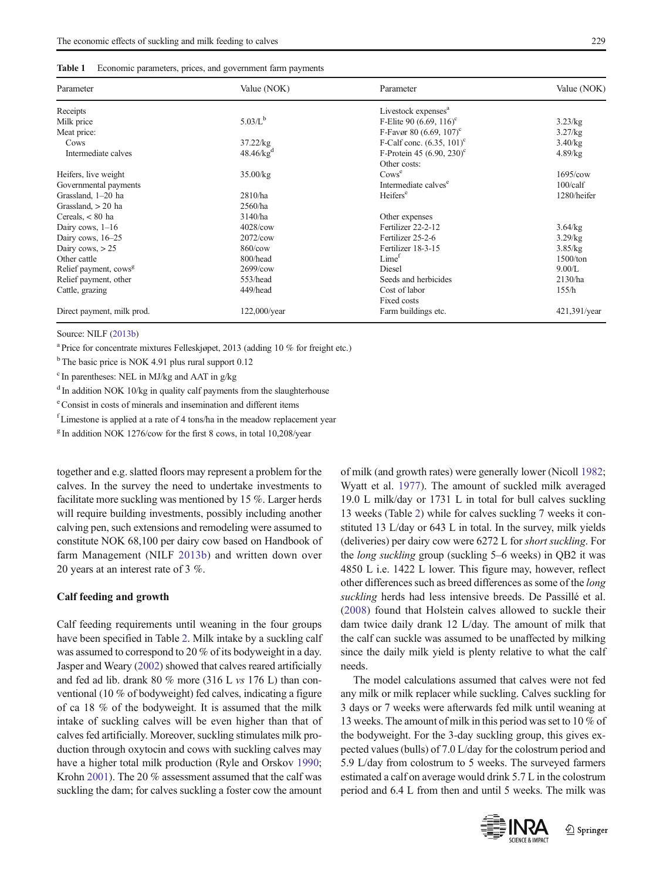<span id="page-4-0"></span>

| Table 1 |  |  |  |  | Economic parameters, prices, and government farm payments |  |  |
|---------|--|--|--|--|-----------------------------------------------------------|--|--|
|---------|--|--|--|--|-----------------------------------------------------------|--|--|

| Parameter                         | Value (NOK)           | Parameter                               | Value (NOK)           |  |
|-----------------------------------|-----------------------|-----------------------------------------|-----------------------|--|
| Receipts                          |                       | Livestock expenses <sup>a</sup>         |                       |  |
| Milk price                        | $5.03/L^{b}$          | F-Elite 90 $(6.69, 116)^c$              | 3.23/kg               |  |
| Meat price:                       |                       | F-Favor 80 $(6.69, 107)^c$              | 3.27/kg               |  |
| Cows                              | 37.22/kg              | F-Calf conc. $(6.35, 101)^c$            | $3.40$ /kg            |  |
| Intermediate calves               | 48.46/kg <sup>d</sup> | F-Protein 45 $(6.90, 230)$ <sup>c</sup> | 4.89/kg               |  |
|                                   |                       | Other costs:                            |                       |  |
| Heifers, live weight              | $35.00$ /kg           | Cows <sup>e</sup>                       | 1695/cow              |  |
| Governmental payments             |                       | Intermediate calves <sup>e</sup>        | $100$ /calf           |  |
| Grassland, 1-20 ha                | 2810/ha               | Heifers <sup>e</sup>                    | 1280/heifer           |  |
| Grassland, > 20 ha                | 2560/ha               |                                         |                       |  |
| Cereals, $< 80$ ha                | 3140/ha               | Other expenses                          |                       |  |
| Dairy cows, $1-16$                | $4028$ /cow           | Fertilizer 22-2-12                      | 3.64/kg               |  |
| Dairy cows, 16–25                 | $2072$ /cow           | Fertilizer 25-2-6                       | 3.29/kg               |  |
| Dairy cows, $> 25$                | 860/cow               | Fertilizer 18-3-15                      | 3.85/kg               |  |
| Other cattle                      | 800/head              | Lime <sup>f</sup>                       | 1500/ton              |  |
| Relief payment, cows <sup>g</sup> | 2699/cow              | Diesel                                  | 9.00/L                |  |
| Relief payment, other             | 553/head              | Seeds and herbicides                    | 2130/ha               |  |
| Cattle, grazing                   | 449/head              | Cost of labor                           | 155/h                 |  |
|                                   |                       | Fixed costs                             |                       |  |
| Direct payment, milk prod.        | 122,000/year          | Farm buildings etc.                     | $421,391/\text{year}$ |  |

Source: NILF [\(2013b](#page-11-0))

<sup>a</sup> Price for concentrate mixtures Felleskjøpet, 2013 (adding 10 % for freight etc.)

 $b$  The basic price is NOK 4.91 plus rural support 0.12

<sup>c</sup> In parentheses: NEL in MJ/kg and AAT in g/kg

 $d$  In addition NOK 10/kg in quality calf payments from the slaughterhouse

e Consist in costs of minerals and insemination and different items

f Limestone is applied at a rate of 4 tons/ha in the meadow replacement year

 $g$  In addition NOK 1276/cow for the first 8 cows, in total 10,208/year

together and e.g. slatted floors may represent a problem for the calves. In the survey the need to undertake investments to facilitate more suckling was mentioned by 15 %. Larger herds will require building investments, possibly including another calving pen, such extensions and remodeling were assumed to constitute NOK 68,100 per dairy cow based on Handbook of farm Management (NILF [2013b](#page-11-0)) and written down over 20 years at an interest rate of 3 %.

#### Calf feeding and growth

Calf feeding requirements until weaning in the four groups have been specified in Table [2](#page-5-0). Milk intake by a suckling calf was assumed to correspond to 20 % of its bodyweight in a day. Jasper and Weary ([2002](#page-11-0)) showed that calves reared artificially and fed ad lib. drank 80 % more (316 L vs 176 L) than conventional (10 % of bodyweight) fed calves, indicating a figure of ca 18 % of the bodyweight. It is assumed that the milk intake of suckling calves will be even higher than that of calves fed artificially. Moreover, suckling stimulates milk production through oxytocin and cows with suckling calves may have a higher total milk production (Ryle and Orskov [1990](#page-11-0); Krohn [2001\)](#page-11-0). The 20 % assessment assumed that the calf was suckling the dam; for calves suckling a foster cow the amount of milk (and growth rates) were generally lower (Nicoll [1982;](#page-11-0) Wyatt et al. [1977\)](#page-11-0). The amount of suckled milk averaged 19.0 L milk/day or 1731 L in total for bull calves suckling 13 weeks (Table [2\)](#page-5-0) while for calves suckling 7 weeks it constituted 13 L/day or 643 L in total. In the survey, milk yields (deliveries) per dairy cow were 6272 L for short suckling. For the long suckling group (suckling 5–6 weeks) in QB2 it was 4850 L i.e. 1422 L lower. This figure may, however, reflect other differences such as breed differences as some of the long suckling herds had less intensive breeds. De Passillé et al. [\(2008\)](#page-10-0) found that Holstein calves allowed to suckle their dam twice daily drank 12 L/day. The amount of milk that the calf can suckle was assumed to be unaffected by milking since the daily milk yield is plenty relative to what the calf needs.

The model calculations assumed that calves were not fed any milk or milk replacer while suckling. Calves suckling for 3 days or 7 weeks were afterwards fed milk until weaning at 13 weeks. The amount of milk in this period was set to 10 % of the bodyweight. For the 3-day suckling group, this gives expected values (bulls) of 7.0 L/day for the colostrum period and 5.9 L/day from colostrum to 5 weeks. The surveyed farmers estimated a calf on average would drink 5.7 L in the colostrum period and 6.4 L from then and until 5 weeks. The milk was



2 Springer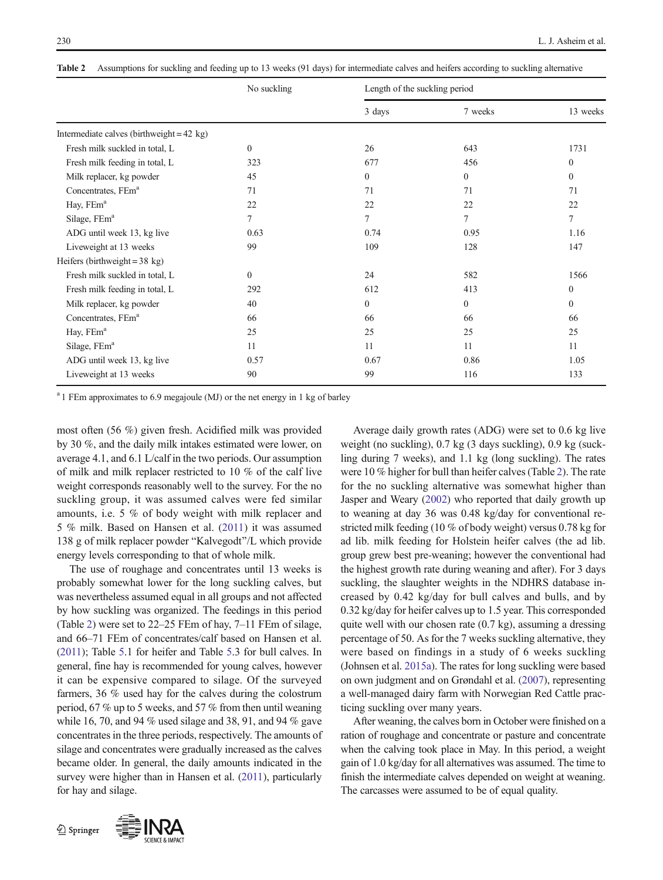| No suckling      | Length of the suckling period |                |              |  |
|------------------|-------------------------------|----------------|--------------|--|
|                  | 3 days                        | 7 weeks        | 13 weeks     |  |
|                  |                               |                |              |  |
| $\boldsymbol{0}$ | 26                            | 643            | 1731         |  |
| 323              | 677                           | 456            | $\mathbf{0}$ |  |
| 45               | $\boldsymbol{0}$              | $\overline{0}$ | $\mathbf{0}$ |  |
| 71               | 71                            | 71             | 71           |  |
| 22               | 22                            | 22             | 22           |  |
| 7                | 7                             | 7              | 7            |  |
| 0.63             | 0.74                          | 0.95           | 1.16         |  |
| 99               | 109                           | 128            | 147          |  |
|                  |                               |                |              |  |
| $\mathbf{0}$     | 24                            | 582            | 1566         |  |
| 292              | 612                           | 413            | $\mathbf{0}$ |  |
| 40               | $\mathbf{0}$                  | $\theta$       | $\theta$     |  |
| 66               | 66                            | 66             | 66           |  |
| 25               | 25                            | 25             | 25           |  |
| 11               | 11                            | 11             | 11           |  |
| 0.57             | 0.67                          | 0.86           | 1.05         |  |
| 90               | 99                            | 116            | 133          |  |
|                  |                               |                |              |  |

<span id="page-5-0"></span>Table 2 Assumptions for suckling and feeding up to 13 weeks (91 days) for intermediate calves and heifers according to suckling alternative

<sup>a</sup> 1 FEm approximates to 6.9 megajoule (MJ) or the net energy in 1 kg of barley

most often (56 %) given fresh. Acidified milk was provided by 30 %, and the daily milk intakes estimated were lower, on average 4.1, and 6.1 L/calf in the two periods. Our assumption of milk and milk replacer restricted to 10 % of the calf live weight corresponds reasonably well to the survey. For the no suckling group, it was assumed calves were fed similar amounts, i.e. 5 % of body weight with milk replacer and 5 % milk. Based on Hansen et al. ([2011](#page-10-0)) it was assumed 138 g of milk replacer powder "Kalvegodt"/L which provide energy levels corresponding to that of whole milk.

The use of roughage and concentrates until 13 weeks is probably somewhat lower for the long suckling calves, but was nevertheless assumed equal in all groups and not affected by how suckling was organized. The feedings in this period (Table 2) were set to 22–25 FEm of hay, 7–11 FEm of silage, and 66–71 FEm of concentrates/calf based on Hansen et al. [\(2011](#page-10-0)); Table [5.](#page-8-0)1 for heifer and Table [5.](#page-8-0)3 for bull calves. In general, fine hay is recommended for young calves, however it can be expensive compared to silage. Of the surveyed farmers, 36 % used hay for the calves during the colostrum period, 67 % up to 5 weeks, and 57 % from then until weaning while 16, 70, and 94 % used silage and 38, 91, and 94 % gave concentrates in the three periods, respectively. The amounts of silage and concentrates were gradually increased as the calves became older. In general, the daily amounts indicated in the survey were higher than in Hansen et al. [\(2011](#page-10-0)), particularly for hay and silage.

2 Springer



Average daily growth rates (ADG) were set to 0.6 kg live weight (no suckling), 0.7 kg (3 days suckling), 0.9 kg (suckling during 7 weeks), and 1.1 kg (long suckling). The rates were 10 % higher for bull than heifer calves (Table 2). The rate for the no suckling alternative was somewhat higher than Jasper and Weary [\(2002\)](#page-11-0) who reported that daily growth up to weaning at day 36 was 0.48 kg/day for conventional restricted milk feeding (10 % of body weight) versus 0.78 kg for ad lib. milk feeding for Holstein heifer calves (the ad lib. group grew best pre-weaning; however the conventional had the highest growth rate during weaning and after). For 3 days suckling, the slaughter weights in the NDHRS database increased by 0.42 kg/day for bull calves and bulls, and by 0.32 kg/day for heifer calves up to 1.5 year. This corresponded quite well with our chosen rate (0.7 kg), assuming a dressing percentage of 50. As for the 7 weeks suckling alternative, they were based on findings in a study of 6 weeks suckling (Johnsen et al. [2015a](#page-11-0)). The rates for long suckling were based on own judgment and on Grøndahl et al. [\(2007\)](#page-10-0), representing a well-managed dairy farm with Norwegian Red Cattle practicing suckling over many years.

After weaning, the calves born in October were finished on a ration of roughage and concentrate or pasture and concentrate when the calving took place in May. In this period, a weight gain of 1.0 kg/day for all alternatives was assumed. The time to finish the intermediate calves depended on weight at weaning. The carcasses were assumed to be of equal quality.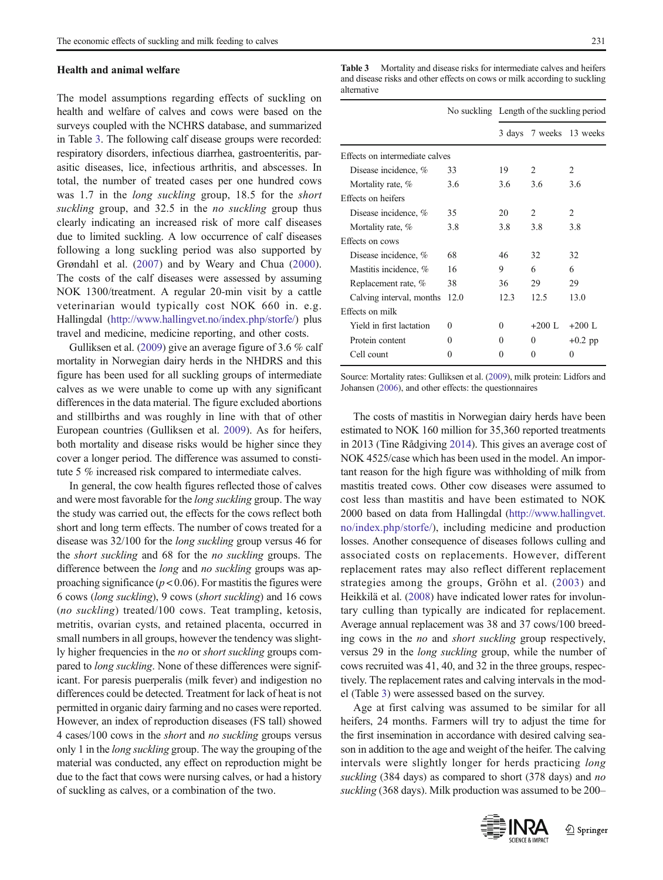#### <span id="page-6-0"></span>Health and animal welfare

The model assumptions regarding effects of suckling on health and welfare of calves and cows were based on the surveys coupled with the NCHRS database, and summarized in Table 3. The following calf disease groups were recorded: respiratory disorders, infectious diarrhea, gastroenteritis, parasitic diseases, lice, infectious arthritis, and abscesses. In total, the number of treated cases per one hundred cows was 1.7 in the long suckling group, 18.5 for the short suckling group, and 32.5 in the *no* suckling group thus clearly indicating an increased risk of more calf diseases due to limited suckling. A low occurrence of calf diseases following a long suckling period was also supported by Grøndahl et al. ([2007\)](#page-10-0) and by Weary and Chua [\(2000](#page-11-0)). The costs of the calf diseases were assessed by assuming NOK 1300/treatment. A regular 20-min visit by a cattle veterinarian would typically cost NOK 660 in. e.g. Hallingdal (<http://www.hallingvet.no/index.php/storfe/>) plus travel and medicine, medicine reporting, and other costs.

Gulliksen et al. [\(2009\)](#page-10-0) give an average figure of 3.6 % calf mortality in Norwegian dairy herds in the NHDRS and this figure has been used for all suckling groups of intermediate calves as we were unable to come up with any significant differences in the data material. The figure excluded abortions and stillbirths and was roughly in line with that of other European countries (Gulliksen et al. [2009\)](#page-10-0). As for heifers, both mortality and disease risks would be higher since they cover a longer period. The difference was assumed to constitute 5 % increased risk compared to intermediate calves.

In general, the cow health figures reflected those of calves and were most favorable for the long suckling group. The way the study was carried out, the effects for the cows reflect both short and long term effects. The number of cows treated for a disease was 32/100 for the long suckling group versus 46 for the short suckling and 68 for the no suckling groups. The difference between the *long* and *no suckling* groups was approaching significance ( $p < 0.06$ ). For mastitis the figures were 6 cows (long suckling), 9 cows (short suckling) and 16 cows (no suckling) treated/100 cows. Teat trampling, ketosis, metritis, ovarian cysts, and retained placenta, occurred in small numbers in all groups, however the tendency was slightly higher frequencies in the no or short suckling groups compared to long suckling. None of these differences were significant. For paresis puerperalis (milk fever) and indigestion no differences could be detected. Treatment for lack of heat is not permitted in organic dairy farming and no cases were reported. However, an index of reproduction diseases (FS tall) showed 4 cases/100 cows in the short and no suckling groups versus only 1 in the long suckling group. The way the grouping of the material was conducted, any effect on reproduction might be due to the fact that cows were nursing calves, or had a history of suckling as calves, or a combination of the two.

Table 3 Mortality and disease risks for intermediate calves and heifers and disease risks and other effects on cows or milk according to suckling alternative

|                                |      | No suckling Length of the suckling period |          |                  |
|--------------------------------|------|-------------------------------------------|----------|------------------|
|                                |      | 3 days                                    |          | 7 weeks 13 weeks |
| Effects on intermediate calves |      |                                           |          |                  |
| Disease incidence, %           | 33   | 19                                        | 2        | 2                |
| Mortality rate, %              | 3.6  | 3.6                                       | 3.6      | 3.6              |
| Effects on heifers             |      |                                           |          |                  |
| Disease incidence, %           | 35   | 20                                        | 2        | $\overline{c}$   |
| Mortality rate, %              | 3.8  | 3.8                                       | 3.8      | 3.8              |
| Effects on cows                |      |                                           |          |                  |
| Disease incidence, %           | 68   | 46                                        | 32       | 32               |
| Mastitis incidence, %          | 16   | 9                                         | 6        | 6                |
| Replacement rate, %            | 38   | 36                                        | 29       | 29               |
| Calving interval, months       | 12.0 | 12.3                                      | 12.5     | 13.0             |
| Effects on milk                |      |                                           |          |                  |
| Yield in first lactation       | 0    | 0                                         | $+200$ L | $+200$ L         |
| Protein content                | 0    | 0                                         | 0        | $+0.2$ pp        |
| Cell count                     | 0    | $\Omega$                                  | 0        | 0                |

Source: Mortality rates: Gulliksen et al. [\(2009\)](#page-10-0), milk protein: Lidfors and Johansen [\(2006\)](#page-11-0), and other effects: the questionnaires

The costs of mastitis in Norwegian dairy herds have been estimated to NOK 160 million for 35,360 reported treatments in 2013 (Tine Rådgiving [2014\)](#page-11-0). This gives an average cost of NOK 4525/case which has been used in the model. An important reason for the high figure was withholding of milk from mastitis treated cows. Other cow diseases were assumed to cost less than mastitis and have been estimated to NOK 2000 based on data from Hallingdal [\(http://www.hallingvet.](http://www.hallingvet.no/index.php/storfe/) [no/index.php/storfe/](http://www.hallingvet.no/index.php/storfe/)), including medicine and production losses. Another consequence of diseases follows culling and associated costs on replacements. However, different replacement rates may also reflect different replacement strategies among the groups, Gröhn et al. ([2003](#page-10-0)) and Heikkilä et al. [\(2008\)](#page-10-0) have indicated lower rates for involuntary culling than typically are indicated for replacement. Average annual replacement was 38 and 37 cows/100 breeding cows in the no and short suckling group respectively, versus 29 in the long suckling group, while the number of cows recruited was 41, 40, and 32 in the three groups, respectively. The replacement rates and calving intervals in the model (Table 3) were assessed based on the survey.

Age at first calving was assumed to be similar for all heifers, 24 months. Farmers will try to adjust the time for the first insemination in accordance with desired calving season in addition to the age and weight of the heifer. The calving intervals were slightly longer for herds practicing long suckling (384 days) as compared to short (378 days) and no suckling (368 days). Milk production was assumed to be 200–

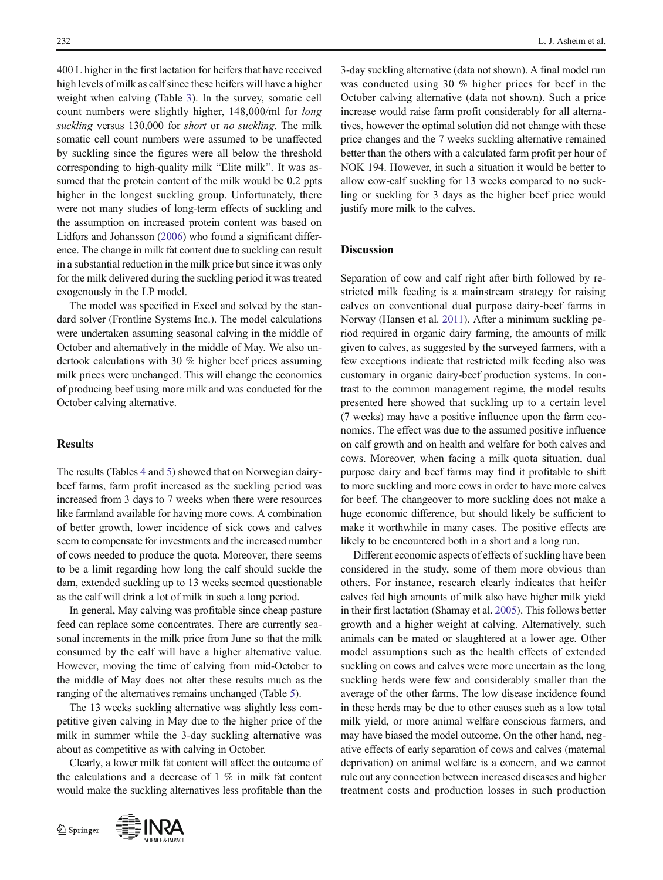400 L higher in the first lactation for heifers that have received high levels of milk as calf since these heifers will have a higher weight when calving (Table [3](#page-6-0)). In the survey, somatic cell count numbers were slightly higher, 148,000/ml for long suckling versus 130,000 for *short* or *no suckling*. The milk somatic cell count numbers were assumed to be unaffected by suckling since the figures were all below the threshold corresponding to high-quality milk "Elite milk". It was assumed that the protein content of the milk would be 0.2 ppts higher in the longest suckling group. Unfortunately, there were not many studies of long-term effects of suckling and the assumption on increased protein content was based on Lidfors and Johansson ([2006](#page-11-0)) who found a significant difference. The change in milk fat content due to suckling can result in a substantial reduction in the milk price but since it was only for the milk delivered during the suckling period it was treated exogenously in the LP model.

The model was specified in Excel and solved by the standard solver (Frontline Systems Inc.). The model calculations were undertaken assuming seasonal calving in the middle of October and alternatively in the middle of May. We also undertook calculations with 30 % higher beef prices assuming milk prices were unchanged. This will change the economics of producing beef using more milk and was conducted for the October calving alternative.

# **Results**

The results (Tables [4](#page-8-0) and [5\)](#page-8-0) showed that on Norwegian dairybeef farms, farm profit increased as the suckling period was increased from 3 days to 7 weeks when there were resources like farmland available for having more cows. A combination of better growth, lower incidence of sick cows and calves seem to compensate for investments and the increased number of cows needed to produce the quota. Moreover, there seems to be a limit regarding how long the calf should suckle the dam, extended suckling up to 13 weeks seemed questionable as the calf will drink a lot of milk in such a long period.

In general, May calving was profitable since cheap pasture feed can replace some concentrates. There are currently seasonal increments in the milk price from June so that the milk consumed by the calf will have a higher alternative value. However, moving the time of calving from mid-October to the middle of May does not alter these results much as the ranging of the alternatives remains unchanged (Table [5](#page-8-0)).

The 13 weeks suckling alternative was slightly less competitive given calving in May due to the higher price of the milk in summer while the 3-day suckling alternative was about as competitive as with calving in October.

Clearly, a lower milk fat content will affect the outcome of the calculations and a decrease of 1 % in milk fat content would make the suckling alternatives less profitable than the

<sup>2</sup> Springer



3-day suckling alternative (data not shown). A final model run was conducted using 30 % higher prices for beef in the October calving alternative (data not shown). Such a price increase would raise farm profit considerably for all alternatives, however the optimal solution did not change with these price changes and the 7 weeks suckling alternative remained better than the others with a calculated farm profit per hour of NOK 194. However, in such a situation it would be better to allow cow-calf suckling for 13 weeks compared to no suckling or suckling for 3 days as the higher beef price would justify more milk to the calves.

# **Discussion**

Separation of cow and calf right after birth followed by restricted milk feeding is a mainstream strategy for raising calves on conventional dual purpose dairy-beef farms in Norway (Hansen et al. [2011\)](#page-10-0). After a minimum suckling period required in organic dairy farming, the amounts of milk given to calves, as suggested by the surveyed farmers, with a few exceptions indicate that restricted milk feeding also was customary in organic dairy-beef production systems. In contrast to the common management regime, the model results presented here showed that suckling up to a certain level (7 weeks) may have a positive influence upon the farm economics. The effect was due to the assumed positive influence on calf growth and on health and welfare for both calves and cows. Moreover, when facing a milk quota situation, dual purpose dairy and beef farms may find it profitable to shift to more suckling and more cows in order to have more calves for beef. The changeover to more suckling does not make a huge economic difference, but should likely be sufficient to make it worthwhile in many cases. The positive effects are likely to be encountered both in a short and a long run.

Different economic aspects of effects of suckling have been considered in the study, some of them more obvious than others. For instance, research clearly indicates that heifer calves fed high amounts of milk also have higher milk yield in their first lactation (Shamay et al. [2005](#page-11-0)). This follows better growth and a higher weight at calving. Alternatively, such animals can be mated or slaughtered at a lower age. Other model assumptions such as the health effects of extended suckling on cows and calves were more uncertain as the long suckling herds were few and considerably smaller than the average of the other farms. The low disease incidence found in these herds may be due to other causes such as a low total milk yield, or more animal welfare conscious farmers, and may have biased the model outcome. On the other hand, negative effects of early separation of cows and calves (maternal deprivation) on animal welfare is a concern, and we cannot rule out any connection between increased diseases and higher treatment costs and production losses in such production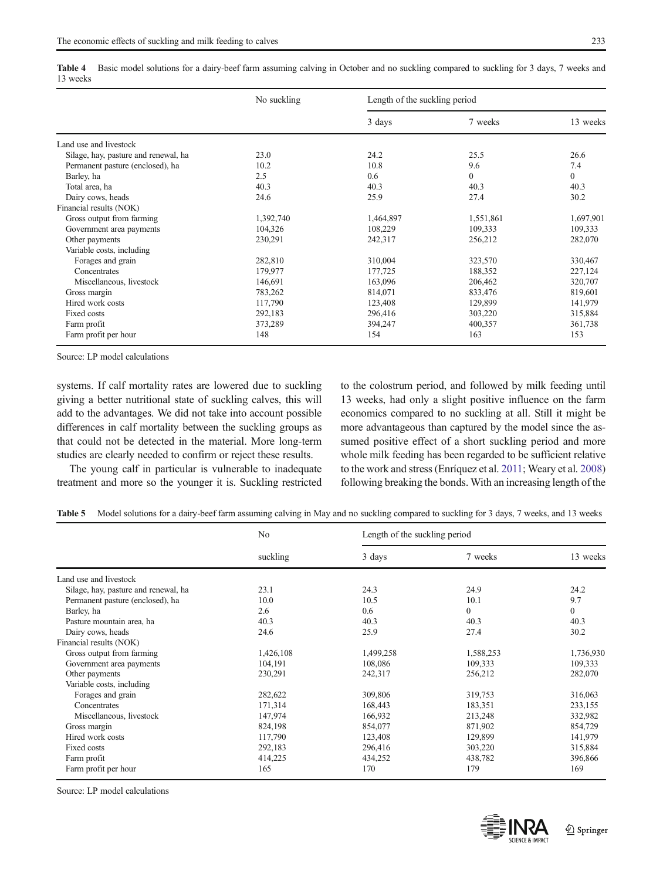|                                      | No suckling | Length of the suckling period |           |           |  |
|--------------------------------------|-------------|-------------------------------|-----------|-----------|--|
|                                      |             | 3 days                        | 7 weeks   | 13 weeks  |  |
| Land use and livestock               |             |                               |           |           |  |
| Silage, hay, pasture and renewal, ha | 23.0        | 24.2                          | 25.5      | 26.6      |  |
| Permanent pasture (enclosed), ha     | 10.2        | 10.8                          | 9.6       | 7.4       |  |
| Barley, ha                           | 2.5         | 0.6                           | $\theta$  | $\Omega$  |  |
| Total area, ha                       | 40.3        | 40.3                          | 40.3      | 40.3      |  |
| Dairy cows, heads                    | 24.6        | 25.9                          | 27.4      | 30.2      |  |
| Financial results (NOK)              |             |                               |           |           |  |
| Gross output from farming            | 1,392,740   | 1,464,897                     | 1,551,861 | 1,697,901 |  |
| Government area payments             | 104,326     | 108,229                       | 109,333   | 109,333   |  |
| Other payments                       | 230,291     | 242,317                       | 256,212   | 282,070   |  |
| Variable costs, including            |             |                               |           |           |  |
| Forages and grain                    | 282,810     | 310,004                       | 323,570   | 330,467   |  |
| Concentrates                         | 179,977     | 177,725                       | 188,352   | 227,124   |  |
| Miscellaneous, livestock             | 146,691     | 163,096                       | 206,462   | 320,707   |  |
| Gross margin                         | 783,262     | 814,071                       | 833,476   | 819,601   |  |
| Hired work costs                     | 117,790     | 123,408                       | 129,899   | 141,979   |  |
| Fixed costs                          | 292,183     | 296,416                       | 303,220   | 315,884   |  |
| Farm profit                          | 373,289     | 394,247                       | 400,357   | 361,738   |  |
| Farm profit per hour                 | 148         | 154                           | 163       | 153       |  |

<span id="page-8-0"></span>Table 4 Basic model solutions for a dairy-beef farm assuming calving in October and no suckling compared to suckling for 3 days, 7 weeks and 13 weeks

Source: LP model calculations

systems. If calf mortality rates are lowered due to suckling giving a better nutritional state of suckling calves, this will add to the advantages. We did not take into account possible differences in calf mortality between the suckling groups as that could not be detected in the material. More long-term studies are clearly needed to confirm or reject these results.

The young calf in particular is vulnerable to inadequate treatment and more so the younger it is. Suckling restricted to the colostrum period, and followed by milk feeding until 13 weeks, had only a slight positive influence on the farm economics compared to no suckling at all. Still it might be more advantageous than captured by the model since the assumed positive effect of a short suckling period and more whole milk feeding has been regarded to be sufficient relative to the work and stress (Enríquez et al. [2011;](#page-10-0) Weary et al. [2008](#page-11-0)) following breaking the bonds. With an increasing length of the

|  |  |  |  |  | <b>Table 5</b> Model solutions for a dairy-beef farm assuming calving in May and no suckling compared to suckling for 3 days, 7 weeks, and 13 weeks |  |  |
|--|--|--|--|--|-----------------------------------------------------------------------------------------------------------------------------------------------------|--|--|
|--|--|--|--|--|-----------------------------------------------------------------------------------------------------------------------------------------------------|--|--|

|                                      | No<br>suckling | Length of the suckling period |           |           |  |
|--------------------------------------|----------------|-------------------------------|-----------|-----------|--|
|                                      |                | 3 days                        | 7 weeks   | 13 weeks  |  |
| Land use and livestock               |                |                               |           |           |  |
| Silage, hay, pasture and renewal, ha | 23.1           | 24.3                          | 24.9      | 24.2      |  |
| Permanent pasture (enclosed), ha     | 10.0           | 10.5                          | 10.1      | 9.7       |  |
| Barley, ha                           | 2.6            | 0.6                           | $\Omega$  | $\Omega$  |  |
| Pasture mountain area, ha            | 40.3           | 40.3                          | 40.3      | 40.3      |  |
| Dairy cows, heads                    | 24.6           | 25.9                          | 27.4      | 30.2      |  |
| Financial results (NOK)              |                |                               |           |           |  |
| Gross output from farming            | 1,426,108      | 1,499,258                     | 1,588,253 | 1,736,930 |  |
| Government area payments             | 104,191        | 108,086                       | 109,333   | 109,333   |  |
| Other payments                       | 230,291        | 242,317                       | 256,212   | 282,070   |  |
| Variable costs, including            |                |                               |           |           |  |
| Forages and grain                    | 282,622        | 309,806                       | 319,753   | 316,063   |  |
| Concentrates                         | 171,314        | 168,443                       | 183,351   | 233,155   |  |
| Miscellaneous, livestock             | 147,974        | 166,932                       | 213,248   | 332,982   |  |
| Gross margin                         | 824,198        | 854,077                       | 871,902   | 854,729   |  |
| Hired work costs                     | 117,790        | 123,408                       | 129,899   | 141,979   |  |
| Fixed costs                          | 292,183        | 296,416                       | 303,220   | 315,884   |  |
| Farm profit                          | 414,225        | 434,252                       | 438,782   | 396,866   |  |
| Farm profit per hour                 | 165            | 170                           | 179       | 169       |  |

Source: LP model calculations

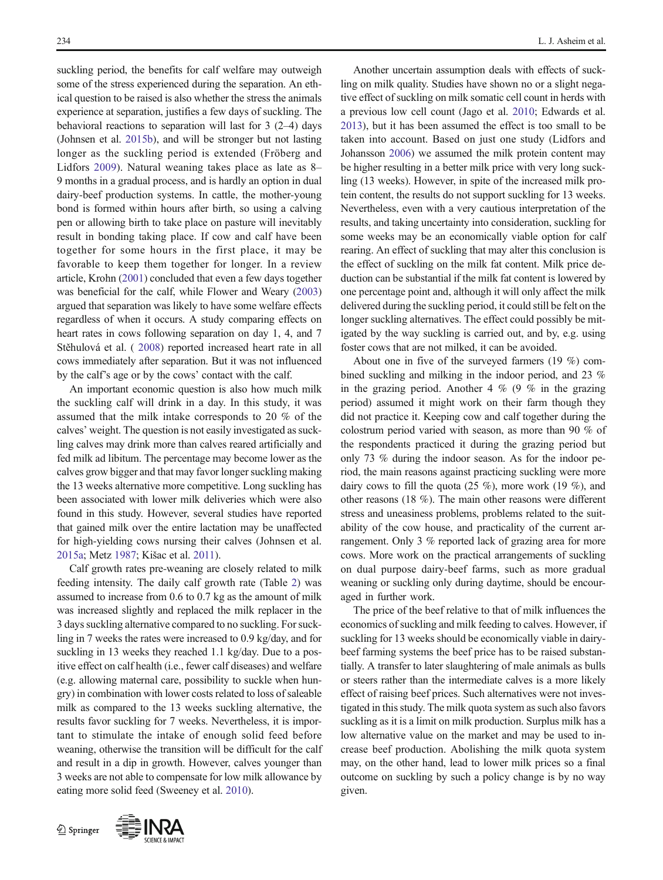suckling period, the benefits for calf welfare may outweigh some of the stress experienced during the separation. An ethical question to be raised is also whether the stress the animals experience at separation, justifies a few days of suckling. The behavioral reactions to separation will last for 3 (2–4) days (Johnsen et al. [2015b](#page-11-0)), and will be stronger but not lasting longer as the suckling period is extended (Fröberg and Lidfors [2009\)](#page-10-0). Natural weaning takes place as late as 8– 9 months in a gradual process, and is hardly an option in dual dairy-beef production systems. In cattle, the mother-young bond is formed within hours after birth, so using a calving pen or allowing birth to take place on pasture will inevitably result in bonding taking place. If cow and calf have been together for some hours in the first place, it may be favorable to keep them together for longer. In a review article, Krohn ([2001](#page-11-0)) concluded that even a few days together was beneficial for the calf, while Flower and Weary [\(2003\)](#page-10-0) argued that separation was likely to have some welfare effects regardless of when it occurs. A study comparing effects on heart rates in cows following separation on day 1, 4, and 7 Stěhulová et al. ( [2008\)](#page-11-0) reported increased heart rate in all cows immediately after separation. But it was not influenced by the calf's age or by the cows' contact with the calf.

An important economic question is also how much milk the suckling calf will drink in a day. In this study, it was assumed that the milk intake corresponds to 20 % of the calves' weight. The question is not easily investigated as suckling calves may drink more than calves reared artificially and fed milk ad libitum. The percentage may become lower as the calves grow bigger and that may favor longer suckling making the 13 weeks alternative more competitive. Long suckling has been associated with lower milk deliveries which were also found in this study. However, several studies have reported that gained milk over the entire lactation may be unaffected for high-yielding cows nursing their calves (Johnsen et al. [2015a;](#page-11-0) Metz [1987](#page-11-0); Kišac et al. [2011\)](#page-11-0).

Calf growth rates pre-weaning are closely related to milk feeding intensity. The daily calf growth rate (Table [2\)](#page-5-0) was assumed to increase from 0.6 to 0.7 kg as the amount of milk was increased slightly and replaced the milk replacer in the 3 days suckling alternative compared to no suckling. For suckling in 7 weeks the rates were increased to 0.9 kg/day, and for suckling in 13 weeks they reached 1.1 kg/day. Due to a positive effect on calf health (i.e., fewer calf diseases) and welfare (e.g. allowing maternal care, possibility to suckle when hungry) in combination with lower costs related to loss of saleable milk as compared to the 13 weeks suckling alternative, the results favor suckling for 7 weeks. Nevertheless, it is important to stimulate the intake of enough solid feed before weaning, otherwise the transition will be difficult for the calf and result in a dip in growth. However, calves younger than 3 weeks are not able to compensate for low milk allowance by eating more solid feed (Sweeney et al. [2010](#page-11-0)).

<sup>2</sup> Springer



Another uncertain assumption deals with effects of suckling on milk quality. Studies have shown no or a slight negative effect of suckling on milk somatic cell count in herds with a previous low cell count (Jago et al. [2010](#page-10-0); Edwards et al. [2013\)](#page-10-0), but it has been assumed the effect is too small to be taken into account. Based on just one study (Lidfors and Johansson [2006](#page-11-0)) we assumed the milk protein content may be higher resulting in a better milk price with very long suckling (13 weeks). However, in spite of the increased milk protein content, the results do not support suckling for 13 weeks. Nevertheless, even with a very cautious interpretation of the results, and taking uncertainty into consideration, suckling for some weeks may be an economically viable option for calf rearing. An effect of suckling that may alter this conclusion is the effect of suckling on the milk fat content. Milk price deduction can be substantial if the milk fat content is lowered by one percentage point and, although it will only affect the milk delivered during the suckling period, it could still be felt on the longer suckling alternatives. The effect could possibly be mitigated by the way suckling is carried out, and by, e.g. using foster cows that are not milked, it can be avoided.

About one in five of the surveyed farmers (19 %) combined suckling and milking in the indoor period, and 23 % in the grazing period. Another 4  $\%$  (9  $\%$  in the grazing period) assumed it might work on their farm though they did not practice it. Keeping cow and calf together during the colostrum period varied with season, as more than 90 % of the respondents practiced it during the grazing period but only 73 % during the indoor season. As for the indoor period, the main reasons against practicing suckling were more dairy cows to fill the quota (25 %), more work (19 %), and other reasons (18 %). The main other reasons were different stress and uneasiness problems, problems related to the suitability of the cow house, and practicality of the current arrangement. Only 3 % reported lack of grazing area for more cows. More work on the practical arrangements of suckling on dual purpose dairy-beef farms, such as more gradual weaning or suckling only during daytime, should be encouraged in further work.

The price of the beef relative to that of milk influences the economics of suckling and milk feeding to calves. However, if suckling for 13 weeks should be economically viable in dairybeef farming systems the beef price has to be raised substantially. A transfer to later slaughtering of male animals as bulls or steers rather than the intermediate calves is a more likely effect of raising beef prices. Such alternatives were not investigated in this study. The milk quota system as such also favors suckling as it is a limit on milk production. Surplus milk has a low alternative value on the market and may be used to increase beef production. Abolishing the milk quota system may, on the other hand, lead to lower milk prices so a final outcome on suckling by such a policy change is by no way given.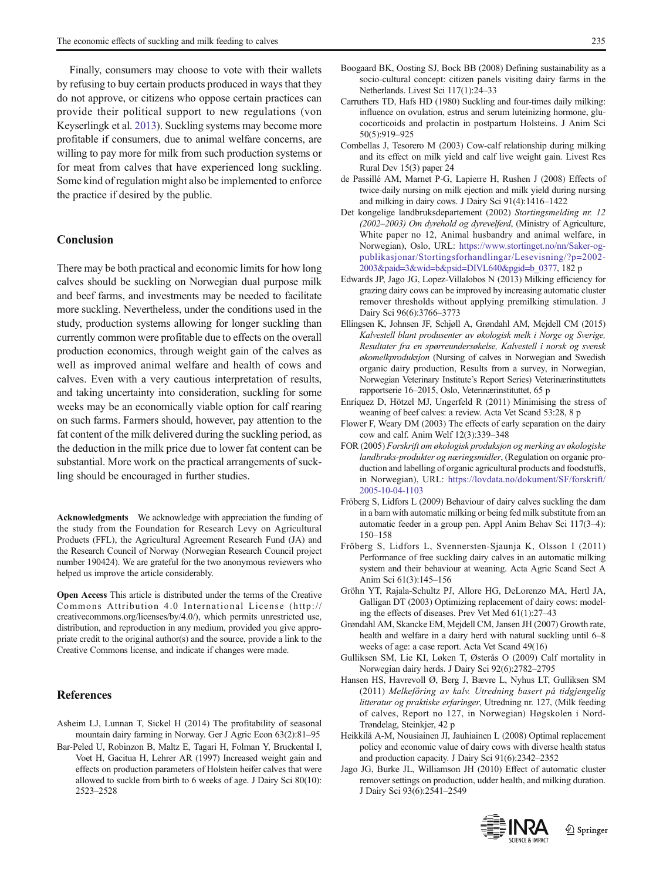<span id="page-10-0"></span>Finally, consumers may choose to vote with their wallets by refusing to buy certain products produced in ways that they do not approve, or citizens who oppose certain practices can provide their political support to new regulations (von Keyserlingk et al. [2013\)](#page-11-0). Suckling systems may become more profitable if consumers, due to animal welfare concerns, are willing to pay more for milk from such production systems or for meat from calves that have experienced long suckling. Some kind of regulation might also be implemented to enforce the practice if desired by the public.

## Conclusion

There may be both practical and economic limits for how long calves should be suckling on Norwegian dual purpose milk and beef farms, and investments may be needed to facilitate more suckling. Nevertheless, under the conditions used in the study, production systems allowing for longer suckling than currently common were profitable due to effects on the overall production economics, through weight gain of the calves as well as improved animal welfare and health of cows and calves. Even with a very cautious interpretation of results, and taking uncertainty into consideration, suckling for some weeks may be an economically viable option for calf rearing on such farms. Farmers should, however, pay attention to the fat content of the milk delivered during the suckling period, as the deduction in the milk price due to lower fat content can be substantial. More work on the practical arrangements of suckling should be encouraged in further studies.

Acknowledgments We acknowledge with appreciation the funding of the study from the Foundation for Research Levy on Agricultural Products (FFL), the Agricultural Agreement Research Fund (JA) and the Research Council of Norway (Norwegian Research Council project number 190424). We are grateful for the two anonymous reviewers who helped us improve the article considerably.

Open Access This article is distributed under the terms of the Creative Commons Attribution 4.0 International License (http:// creativecommons.org/licenses/by/4.0/), which permits unrestricted use, distribution, and reproduction in any medium, provided you give appropriate credit to the original author(s) and the source, provide a link to the Creative Commons license, and indicate if changes were made.

## References

- Asheim LJ, Lunnan T, Sickel H (2014) The profitability of seasonal mountain dairy farming in Norway. Ger J Agric Econ 63(2):81–95
- Bar-Peled U, Robinzon B, Maltz E, Tagari H, Folman Y, Bruckental I, Voet H, Gacitua H, Lehrer AR (1997) Increased weight gain and effects on production parameters of Holstein heifer calves that were allowed to suckle from birth to 6 weeks of age. J Dairy Sci 80(10): 2523–2528
- Boogaard BK, Oosting SJ, Bock BB (2008) Defining sustainability as a socio-cultural concept: citizen panels visiting dairy farms in the Netherlands. Livest Sci 117(1):24–33
- Carruthers TD, Hafs HD (1980) Suckling and four-times daily milking: influence on ovulation, estrus and serum luteinizing hormone, glucocorticoids and prolactin in postpartum Holsteins. J Anim Sci 50(5):919–925
- Combellas J, Tesorero M (2003) Cow-calf relationship during milking and its effect on milk yield and calf live weight gain. Livest Res Rural Dev 15(3) paper 24
- de Passillé AM, Marnet P-G, Lapierre H, Rushen J (2008) Effects of twice-daily nursing on milk ejection and milk yield during nursing and milking in dairy cows. J Dairy Sci 91(4):1416–1422
- Det kongelige landbruksdepartement (2002) Stortingsmelding nr. 12 (2002–2003) Om dyrehold og dyrevelferd, (Ministry of Agriculture, White paper no 12, Animal husbandry and animal welfare, in Norwegian), Oslo, URL: [https://www.stortinget.no/nn/Saker-og](https://www.stortinget.no/nn/Saker-og-publikasjonar/Stortingsforhandlingar/Lesevisning/?p=2002-2003&paid=3&wid=b&psid=DIVL640&pgid=b_0377)[publikasjonar/Stortingsforhandlingar/Lesevisning/?p=2002-](https://www.stortinget.no/nn/Saker-og-publikasjonar/Stortingsforhandlingar/Lesevisning/?p=2002-2003&paid=3&wid=b&psid=DIVL640&pgid=b_0377) [2003&paid=3&wid=b&psid=DIVL640&pgid=b\\_0377](https://www.stortinget.no/nn/Saker-og-publikasjonar/Stortingsforhandlingar/Lesevisning/?p=2002-2003&paid=3&wid=b&psid=DIVL640&pgid=b_0377), 182 p
- Edwards JP, Jago JG, Lopez-Villalobos N (2013) Milking efficiency for grazing dairy cows can be improved by increasing automatic cluster remover thresholds without applying premilking stimulation. J Dairy Sci 96(6):3766–3773
- Ellingsen K, Johnsen JF, Schjøll A, Grøndahl AM, Mejdell CM (2015) Kalvestell blant produsenter av økologisk melk i Norge og Sverige, Resultater fra en spørreundersøkelse, Kalvestell i norsk og svensk økomelkproduksjon (Nursing of calves in Norwegian and Swedish organic dairy production, Results from a survey, in Norwegian, Norwegian Veterinary Institute's Report Series) Veterinærinstituttets rapportserie 16–2015, Oslo, Veterinærinstituttet, 65 p
- Enríquez D, Hötzel MJ, Ungerfeld R (2011) Minimising the stress of weaning of beef calves: a review. Acta Vet Scand 53:28, 8 p
- Flower F, Weary DM (2003) The effects of early separation on the dairy cow and calf. Anim Welf 12(3):339–348
- FOR (2005) Forskrift om økologisk produksjon og merking av økologiske landbruks-produkter og næringsmidler, (Regulation on organic production and labelling of organic agricultural products and foodstuffs, in Norwegian), URL: [https://lovdata.no/dokument/SF/forskrift/](https://lovdata.no/dokument/SF/forskrift/2005-10-04-1103) [2005-10-04-1103](https://lovdata.no/dokument/SF/forskrift/2005-10-04-1103)
- Fröberg S, Lidfors L (2009) Behaviour of dairy calves suckling the dam in a barn with automatic milking or being fed milk substitute from an automatic feeder in a group pen. Appl Anim Behav Sci 117(3–4): 150–158
- Fröberg S, Lidfors L, Svennersten-Sjaunja K, Olsson I (2011) Performance of free suckling dairy calves in an automatic milking system and their behaviour at weaning. Acta Agric Scand Sect A Anim Sci 61(3):145–156
- Gröhn YT, Rajala-Schultz PJ, Allore HG, DeLorenzo MA, Hertl JA, Galligan DT (2003) Optimizing replacement of dairy cows: modeling the effects of diseases. Prev Vet Med 61(1):27–43
- Grøndahl AM, Skancke EM, Mejdell CM, Jansen JH (2007) Growth rate, health and welfare in a dairy herd with natural suckling until 6–8 weeks of age: a case report. Acta Vet Scand 49(16)
- Gulliksen SM, Lie KI, Løken T, Østerås O (2009) Calf mortality in Norwegian dairy herds. J Dairy Sci 92(6):2782–2795
- Hansen HS, Havrevoll Ø, Berg J, Bævre L, Nyhus LT, Gulliksen SM (2011) Melkefôring av kalv. Utredning basert på tidgjengelig litteratur og praktiske erfaringer, Utredning nr. 127, (Milk feeding of calves, Report no 127, in Norwegian) Høgskolen i Nord-Trøndelag, Steinkjer, 42 p
- Heikkilä A-M, Nousiainen JI, Jauhiainen L (2008) Optimal replacement policy and economic value of dairy cows with diverse health status and production capacity. J Dairy Sci 91(6):2342–2352
- Jago JG, Burke JL, Williamson JH (2010) Effect of automatic cluster remover settings on production, udder health, and milking duration. J Dairy Sci 93(6):2541–2549